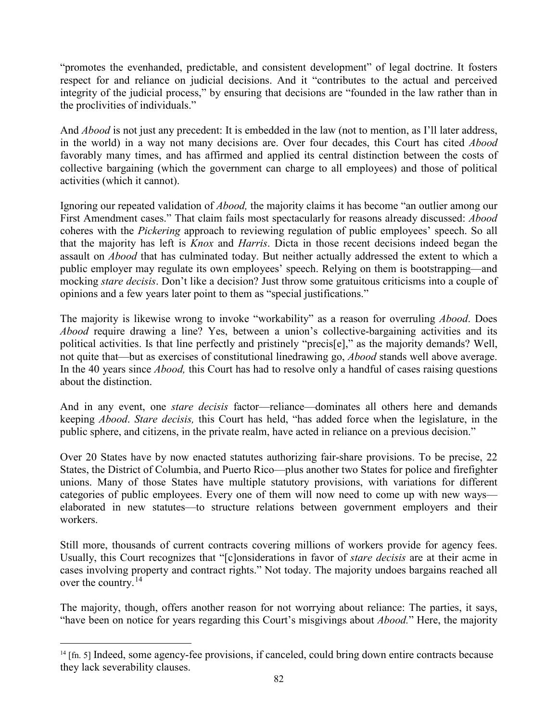"promotes the evenhanded, predictable, and consistent development" of legal doctrine. It fosters respect for and reliance on judicial decisions. And it "contributes to the actual and perceived integrity of the judicial process," by ensuring that decisions are "founded in the law rather than in the proclivities of individuals."

And *Abood* is not just any precedent: It is embedded in the law (not to mention, as I'll later address, in the world) in a way not many decisions are. Over four decades, this Court has cited *Abood* favorably many times, and has affirmed and applied its central distinction between the costs of collective bargaining (which the government can charge to all employees) and those of political activities (which it cannot).

Ignoring our repeated validation of *Abood,* the majority claims it has become "an outlier among our First Amendment cases." That claim fails most spectacularly for reasons already discussed: *Abood*  coheres with the *Pickering* approach to reviewing regulation of public employees' speech. So all that the majority has left is *Knox* and *Harris*. Dicta in those recent decisions indeed began the assault on *Abood* that has culminated today. But neither actually addressed the extent to which a public employer may regulate its own employees' speech. Relying on them is bootstrapping—and mocking *stare decisis*. Don't like a decision? Just throw some gratuitous criticisms into a couple of opinions and a few years later point to them as "special justifications."

The majority is likewise wrong to invoke "workability" as a reason for overruling *Abood*. Does *Abood* require drawing a line? Yes, between a union's collective-bargaining activities and its political activities. Is that line perfectly and pristinely "precis[e]," as the majority demands? Well, not quite that—but as exercises of constitutional linedrawing go, *Abood* stands well above average. In the 40 years since *Abood,* this Court has had to resolve only a handful of cases raising questions about the distinction.

And in any event, one *stare decisis* factor—reliance—dominates all others here and demands keeping *Abood*. *Stare decisis,* this Court has held, "has added force when the legislature, in the public sphere, and citizens, in the private realm, have acted in reliance on a previous decision."

Over 20 States have by now enacted statutes authorizing fair-share provisions. To be precise, 22 States, the District of Columbia, and Puerto Rico—plus another two States for police and firefighter unions. Many of those States have multiple statutory provisions, with variations for different categories of public employees. Every one of them will now need to come up with new ways elaborated in new statutes—to structure relations between government employers and their workers.

Still more, thousands of current contracts covering millions of workers provide for agency fees. Usually, this Court recognizes that "[c]onsiderations in favor of *stare decisis* are at their acme in cases involving property and contract rights." Not today. The majority undoes bargains reached all over the country.<sup>[14](#page-83-0)</sup>

The majority, though, offers another reason for not worrying about reliance: The parties, it says, "have been on notice for years regarding this Court's misgivings about *Abood.*" Here, the majority

 $\overline{a}$ 

<span id="page-83-0"></span><sup>&</sup>lt;sup>14</sup> [fn. 5] Indeed, some agency-fee provisions, if canceled, could bring down entire contracts because they lack severability clauses.